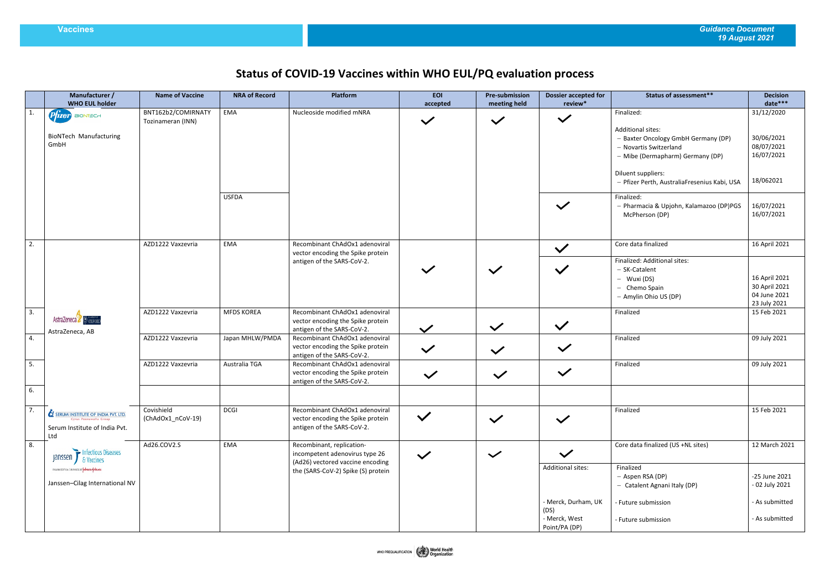## **Status of COVID-19 Vaccines within WHO EUL/PQ evaluation process**

|    | Manufacturer /<br><b>WHO EUL holder</b>                                                                                      | <b>Name of Vaccine</b>                  | <b>NRA of Record</b> | Platform                                                                                                                              | <b>EOI</b><br>accepted | <b>Pre-submission</b><br>meeting held | <b>Dossier accepted for</b><br>review* | <b>Status of assessment**</b>                                                                                                 | <b>Decision</b><br>date***                                     |
|----|------------------------------------------------------------------------------------------------------------------------------|-----------------------------------------|----------------------|---------------------------------------------------------------------------------------------------------------------------------------|------------------------|---------------------------------------|----------------------------------------|-------------------------------------------------------------------------------------------------------------------------------|----------------------------------------------------------------|
| 1. | $P$ $\hat{I}$ zer BIONTECH                                                                                                   | BNT162b2/COMIRNATY<br>Tozinameran (INN) | EMA                  | Nucleoside modified mNRA                                                                                                              | $\checkmark$           | $\checkmark$                          | $\checkmark$                           | Finalized:                                                                                                                    | 31/12/2020                                                     |
|    | <b>BioNTech Manufacturing</b><br>GmbH                                                                                        |                                         |                      |                                                                                                                                       |                        |                                       |                                        | <b>Additional sites:</b><br>- Baxter Oncology GmbH Germany (DP)<br>- Novartis Switzerland<br>- Mibe (Dermapharm) Germany (DP) | 30/06/2021<br>08/07/2021<br>16/07/2021                         |
|    |                                                                                                                              |                                         |                      |                                                                                                                                       |                        |                                       |                                        | Diluent suppliers:<br>- Pfizer Perth, AustraliaFresenius Kabi, USA                                                            | 18/062021                                                      |
|    |                                                                                                                              |                                         | <b>USFDA</b>         |                                                                                                                                       |                        |                                       | $\checkmark$                           | Finalized:<br>- Pharmacia & Upjohn, Kalamazoo (DP)PGS<br>McPherson (DP)                                                       | 16/07/2021<br>16/07/2021                                       |
| 2. |                                                                                                                              | AZD1222 Vaxzevria                       | EMA                  | Recombinant ChAdOx1 adenoviral<br>vector encoding the Spike protein                                                                   |                        |                                       | $\checkmark$                           | Core data finalized                                                                                                           | 16 April 2021                                                  |
|    |                                                                                                                              |                                         |                      | antigen of the SARS-CoV-2.                                                                                                            |                        | $\checkmark$                          | $\checkmark$                           | Finalized: Additional sites:<br>- SK-Catalent<br>- Wuxi (DS)<br>- Chemo Spain<br>- Amylin Ohio US (DP)                        | 16 April 2021<br>30 April 2021<br>04 June 2021<br>23 July 2021 |
| 3. | AstraZeneca & OXFORD<br>AstraZeneca, AB                                                                                      | AZD1222 Vaxzevria                       | <b>MFDS KOREA</b>    | Recombinant ChAdOx1 adenoviral<br>vector encoding the Spike protein<br>antigen of the SARS-CoV-2.                                     | $\checkmark$           | $\checkmark$                          | $\checkmark$                           | Finalized                                                                                                                     | 15 Feb 2021                                                    |
| 4. |                                                                                                                              | AZD1222 Vaxzevria                       | Japan MHLW/PMDA      | Recombinant ChAdOx1 adenoviral<br>vector encoding the Spike protein<br>antigen of the SARS-CoV-2.                                     | $\checkmark$           | $\checkmark$                          | $\checkmark$                           | Finalized                                                                                                                     | 09 July 2021                                                   |
| 5. |                                                                                                                              | AZD1222 Vaxzevria                       | Australia TGA        | Recombinant ChAdOx1 adenoviral<br>vector encoding the Spike protein<br>antigen of the SARS-CoV-2.                                     | $\checkmark$           | $\checkmark$                          | $\checkmark$                           | Finalized                                                                                                                     | 09 July 2021                                                   |
| 6. |                                                                                                                              |                                         |                      |                                                                                                                                       |                        |                                       |                                        |                                                                                                                               |                                                                |
| 7. | <b>SERUM INSTITUTE OF INDIA PVT. LTD.</b><br>Cyrus Poonawalla Group<br>Serum Institute of India Pvt.<br>Ltd                  | Covishield<br>(ChAdOx1_nCoV-19)         | <b>DCGI</b>          | Recombinant ChAdOx1 adenoviral<br>vector encoding the Spike protein<br>antigen of the SARS-CoV-2.                                     | $\checkmark$           | $\checkmark$                          | $\checkmark$                           | Finalized                                                                                                                     | 15 Feb 2021                                                    |
| 8. | Infectious Diseases<br>janssen<br>& Vaccines<br>PHARMACEUTICAL CONPANIES OF VERMON-VERMIEN<br>Janssen-Cilag International NV | Ad26.COV2.S                             | EMA                  | Recombinant, replication-<br>incompetent adenovirus type 26<br>(Ad26) vectored vaccine encoding<br>the (SARS-CoV-2) Spike (S) protein | $\checkmark$           | $\checkmark$                          | $\checkmark$                           | Core data finalized (US +NL sites)                                                                                            | 12 March 2021                                                  |
|    |                                                                                                                              |                                         |                      |                                                                                                                                       |                        |                                       | Additional sites:                      | Finalized<br>- Aspen RSA (DP)<br>- Catalent Agnani Italy (DP)                                                                 | -25 June 2021<br>- 02 July 2021                                |
|    |                                                                                                                              |                                         |                      |                                                                                                                                       |                        |                                       | - Merck, Durham, UK<br>(DS)            | - Future submission                                                                                                           | - As submitted                                                 |
|    |                                                                                                                              |                                         |                      |                                                                                                                                       |                        |                                       | - Merck, West<br>Point/PA (DP)         | - Future submission                                                                                                           | - As submitted                                                 |

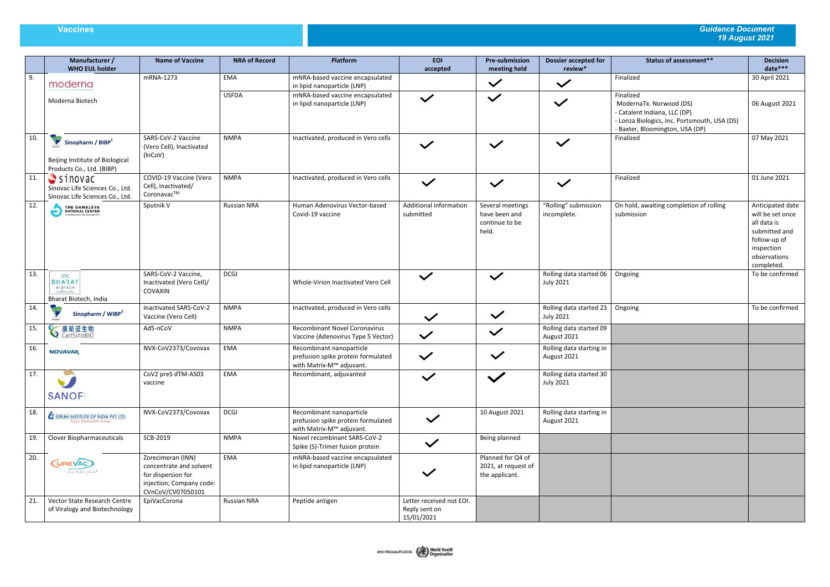## **Vaccines** *Guidance Document 19 August 2021*

|     | Manufacturer /<br><b>WHO EUL holder</b>                                                | <b>Name of Vaccine</b>                                                                                              | <b>NRA of Record</b> | Platform                                                                                   | <b>EOI</b><br>accepted                                  | <b>Pre-submission</b><br>meeting held                        | <b>Dossier accepted for</b><br>review*      | <b>Status of assessment**</b>                                                                                                                         | <b>Decision</b><br>date***                                                                                                       |
|-----|----------------------------------------------------------------------------------------|---------------------------------------------------------------------------------------------------------------------|----------------------|--------------------------------------------------------------------------------------------|---------------------------------------------------------|--------------------------------------------------------------|---------------------------------------------|-------------------------------------------------------------------------------------------------------------------------------------------------------|----------------------------------------------------------------------------------------------------------------------------------|
| 9.  | moderna                                                                                | mRNA-1273                                                                                                           | EMA                  | mNRA-based vaccine encapsulated<br>in lipid nanoparticle (LNP)                             |                                                         | $\checkmark$                                                 | $\checkmark$                                | Finalized                                                                                                                                             | 30 April 2021                                                                                                                    |
|     | Moderna Biotech                                                                        |                                                                                                                     | <b>USFDA</b>         | mNRA-based vaccine encapsulated<br>in lipid nanoparticle (LNP)                             | $\checkmark$                                            | $\checkmark$                                                 | $\checkmark$                                | Finalized<br>ModernaTx. Norwood (DS)<br>- Catalent Indiana, LLC (DP)<br>- Lonza Biologics, Inc. Portsmouth, USA (DS)<br>Baxter, Bloomington, USA (DP) | 06 August 2021                                                                                                                   |
| 10. | Sinopharm / $BIBP1$<br>Beijing Institute of Biological<br>Products Co., Ltd. (BIBP)    | SARS-CoV-2 Vaccine<br>(Vero Cell), Inactivated<br>(InCoV)                                                           | <b>NMPA</b>          | Inactivated, produced in Vero cells                                                        | $\checkmark$                                            | $\checkmark$                                                 | $\checkmark$                                | Finalized                                                                                                                                             | 07 May 2021                                                                                                                      |
| 11. | $S$ sinovac<br>Sinovac Life Sciences Co., Ltd.<br>Sinovac Life Sciences Co., Ltd.      | COVID-19 Vaccine (Vero<br>Cell), Inactivated/<br>Coronavac™                                                         | <b>NMPA</b>          | Inactivated, produced in Vero cells                                                        | $\checkmark$                                            | $\checkmark$                                                 | $\checkmark$                                | Finalized                                                                                                                                             | 01 June 2021                                                                                                                     |
| 12. | THE GAMALEYA<br>NATIONAL CENTER<br>OF EPIDEMICLOGY AND MICROBIOLOGY                    | Sputnik V                                                                                                           | <b>Russian NRA</b>   | Human Adenovirus Vector-based<br>Covid-19 vaccine                                          | <b>Additional information</b><br>submitted              | Several meetings<br>have been and<br>continue to be<br>held. | "Rolling" submission<br>incomplete.         | On hold, awaiting completion of rolling<br>submission                                                                                                 | Anticipated date<br>will be set once<br>all data is<br>submitted and<br>follow-up of<br>inspection<br>observations<br>completed. |
| 13. | $\infty$<br><b>BHARAT</b><br><b>BIOTECH</b><br>Lead Shrowskon<br>Bharat Biotech, India | SARS-CoV-2 Vaccine,<br>Inactivated (Vero Cell)/<br>COVAXIN                                                          | <b>DCGI</b>          | Whole-Virion Inactivated Vero Cell                                                         | $\checkmark$                                            | $\checkmark$                                                 | Rolling data started 06<br><b>July 2021</b> | Ongoing                                                                                                                                               | To be confirmed                                                                                                                  |
| 14. | Sinopharm / WIBP <sup>2</sup>                                                          | Inactivated SARS-CoV-2<br>Vaccine (Vero Cell)                                                                       | NMPA                 | Inactivated, produced in Vero cells                                                        | $\checkmark$                                            | $\checkmark$                                                 | Rolling data started 23<br><b>July 2021</b> | Ongoing                                                                                                                                               | To be confirmed                                                                                                                  |
| 15. | <b>√康希诺生物</b>                                                                          | Ad5-nCoV                                                                                                            | <b>NMPA</b>          | <b>Recombinant Novel Coronavirus</b><br>Vaccine (Adenovirus Type 5 Vector)                 | $\checkmark$                                            | $\checkmark$                                                 | Rolling data started 09<br>August 2021      |                                                                                                                                                       |                                                                                                                                  |
| 16. | <b>NOVAVAX</b>                                                                         | NVX-CoV2373/Covovax                                                                                                 | EMA                  | Recombinant nanoparticle<br>prefusion spike protein formulated<br>with Matrix-M™ adjuvant. | $\checkmark$                                            | $\checkmark$                                                 | Rolling data starting in<br>August 2021     |                                                                                                                                                       |                                                                                                                                  |
| 17. | <b>SANOFI</b>                                                                          | CoV2 preS dTM-AS03<br>vaccine                                                                                       | EMA                  | Recombinant, adjuvanted                                                                    | $\checkmark$                                            | $\checkmark$                                                 | Rolling data started 30<br><b>July 2021</b> |                                                                                                                                                       |                                                                                                                                  |
| 18. | <b>SERUM INSTITUTE OF INDIA PVT. LTD.</b><br>Cyrus Poonawalla Group                    | NVX-CoV2373/Covovax                                                                                                 | <b>DCGI</b>          | Recombinant nanoparticle<br>prefusion spike protein formulated<br>with Matrix-M™ adjuvant. | $\checkmark$                                            | 10 August 2021                                               | Rolling data starting in<br>August 2021     |                                                                                                                                                       |                                                                                                                                  |
| 19. | Clover Biopharmaceuticals                                                              | SCB-2019                                                                                                            | <b>NMPA</b>          | Novel recombinant SARS-CoV-2<br>Spike (S)-Trimer fusion protein                            | $\checkmark$                                            | Being planned                                                |                                             |                                                                                                                                                       |                                                                                                                                  |
| 20. | (UREVAC)<br>the RNA people®                                                            | Zorecimeran (INN)<br>concentrate and solvent<br>for dispersion for<br>injection; Company code:<br>CVnCoV/CV07050101 | EMA                  | mNRA-based vaccine encapsulated<br>in lipid nanoparticle (LNP)                             | $\checkmark$                                            | Planned for Q4 of<br>2021, at request of<br>the applicant.   |                                             |                                                                                                                                                       |                                                                                                                                  |
| 21. | Vector State Research Centre<br>of Viralogy and Biotechnology                          | EpiVacCorona                                                                                                        | Russian NRA          | Peptide antigen                                                                            | Letter received not EOI.<br>Reply sent on<br>15/01/2021 |                                                              |                                             |                                                                                                                                                       |                                                                                                                                  |